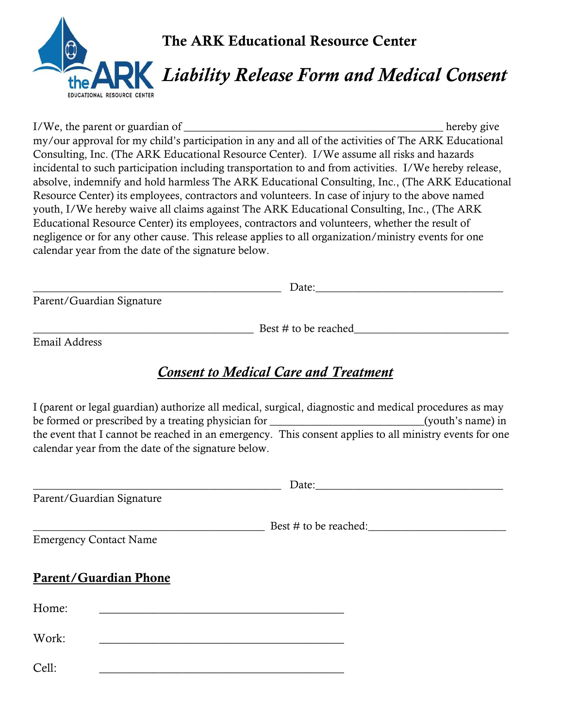

I/We, the parent or guardian of  $\blacksquare$ my/our approval for my child's participation in any and all of the activities of The ARK Educational Consulting, Inc. (The ARK Educational Resource Center). I/We assume all risks and hazards incidental to such participation including transportation to and from activities. I/We hereby release, absolve, indemnify and hold harmless The ARK Educational Consulting, Inc., (The ARK Educational Resource Center) its employees, contractors and volunteers. In case of injury to the above named youth, I/We hereby waive all claims against The ARK Educational Consulting, Inc., (The ARK Educational Resource Center) its employees, contractors and volunteers, whether the result of negligence or for any other cause. This release applies to all organization/ministry events for one calendar year from the date of the signature below.

|                           | Date <sup>.</sup> |  |
|---------------------------|-------------------|--|
| Parent/Guardian Signature |                   |  |

Best  $\#$  to be reached

Email Address

## *Consent to Medical Care and Treatment*

I (parent or legal guardian) authorize all medical, surgical, diagnostic and medical procedures as may be formed or prescribed by a treating physician for  $(vouth's name)$  in the event that I cannot be reached in an emergency. This consent applies to all ministry events for one calendar year from the date of the signature below.

|                               | Parent/Guardian Signature    |                       |
|-------------------------------|------------------------------|-----------------------|
| <b>Emergency Contact Name</b> |                              | Best # to be reached: |
|                               | <b>Parent/Guardian Phone</b> |                       |
| Home:                         |                              |                       |
| Work:                         |                              |                       |
| Cell:                         |                              |                       |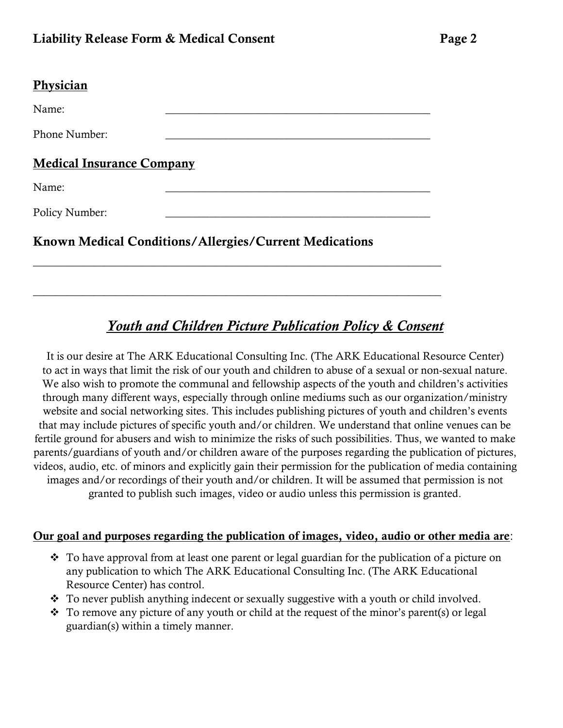|  | בי<br>۱O<br>г. |  |
|--|----------------|--|
|--|----------------|--|

#### **Physician**

Name: 2008. 2008. 2008. 2008. 2008. 2008. 2008. 2008. 2008. 2008. 2008. 2008. 2008. 2008. 2008. 2008. 2008. 20<br>2008. 2008. 2008. 2008. 2008. 2008. 2008. 2008. 2008. 2008. 2008. 2008. 2008. 2008. 2008. 2008. 2008. 2008. 20 Phone Number:

 $\_$  , and the set of the set of the set of the set of the set of the set of the set of the set of the set of the set of the set of the set of the set of the set of the set of the set of the set of the set of the set of th

 $\_$  , and the set of the set of the set of the set of the set of the set of the set of the set of the set of the set of the set of the set of the set of the set of the set of the set of the set of the set of the set of th

Medical Insurance Company

Name: 2008. 2008. 2008. 2008. 2008. 2008. 2008. 2008. 2008. 2008. 2008. 2008. 2008. 2008. 2008. 2008. 2008. 20<br>2008. 2008. 2008. 2008. 2008. 2008. 2008. 2008. 2008. 2008. 2008. 2008. 2008. 2008. 2008. 2008. 2008. 2008. 20

Policy Number:

### Known Medical Conditions/Allergies/Current Medications

# *Youth and Children Picture Publication Policy & Consent*

It is our desire at The ARK Educational Consulting Inc. (The ARK Educational Resource Center) to act in ways that limit the risk of our youth and children to abuse of a sexual or non-sexual nature. We also wish to promote the communal and fellowship aspects of the youth and children's activities through many different ways, especially through online mediums such as our organization/ministry website and social networking sites. This includes publishing pictures of youth and children's events that may include pictures of specific youth and/or children. We understand that online venues can be fertile ground for abusers and wish to minimize the risks of such possibilities. Thus, we wanted to make parents/guardians of youth and/or children aware of the purposes regarding the publication of pictures, videos, audio, etc. of minors and explicitly gain their permission for the publication of media containing images and/or recordings of their youth and/or children. It will be assumed that permission is not granted to publish such images, video or audio unless this permission is granted.

#### Our goal and purposes regarding the publication of images, video, audio or other media are:

- ❖ To have approval from at least one parent or legal guardian for the publication of a picture on any publication to which The ARK Educational Consulting Inc. (The ARK Educational Resource Center) has control.
- ❖ To never publish anything indecent or sexually suggestive with a youth or child involved.
- ❖ To remove any picture of any youth or child at the request of the minor's parent(s) or legal guardian(s) within a timely manner.